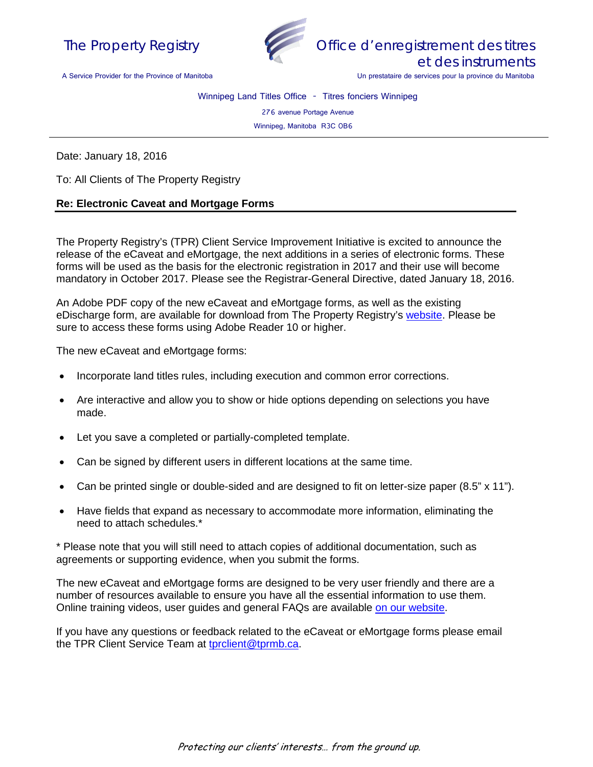



Office d'enregistrement des titres et des instruments

Un prestataire de services pour la province du Manitoba

A Service Provider for the Province of Manitoba

Winnipeg Land Titles Office - Titres fonciers Winnipeg

276 avenue Portage Avenue

Winnipeg, Manitoba R3C 0B6

Date: January 18, 2016

To: All Clients of The Property Registry

## **Re: Electronic Caveat and Mortgage Forms**

The Property Registry's (TPR) Client Service Improvement Initiative is excited to announce the release of the eCaveat and eMortgage, the next additions in a series of electronic forms. These forms will be used as the basis for the electronic registration in 2017 and their use will become mandatory in October 2017. Please see the Registrar-General Directive, dated January 18, 2016.

An Adobe PDF copy of the new eCaveat and eMortgage forms, as well as the existing eDischarge form, are available for download from The Property Registry's [website.](http://www.tprmb.ca/tpr/land_titles/lto_offices/eforms.html) Please be sure to access these forms using Adobe Reader 10 or higher.

The new eCaveat and eMortgage forms:

- Incorporate land titles rules, including execution and common error corrections.
- Are interactive and allow you to show or hide options depending on selections you have made.
- Let you save a completed or partially-completed template.
- Can be signed by different users in different locations at the same time.
- Can be printed single or double-sided and are designed to fit on letter-size paper (8.5" x 11").
- Have fields that expand as necessary to accommodate more information, eliminating the need to attach schedules.\*

\* Please note that you will still need to attach copies of additional documentation, such as agreements or supporting evidence, when you submit the forms.

The new eCaveat and eMortgage forms are designed to be very user friendly and there are a number of resources available to ensure you have all the essential information to use them. Online training videos, user guides and general FAQs are available [on our website.](http://www.tprmb.ca/tpr/land_titles/lto_offices/eforms.html)

If you have any questions or feedback related to the eCaveat or eMortgage forms please email the TPR Client Service Team at [tprclient@tprmb.ca.](mailto:tprclient@tprmb.ca)